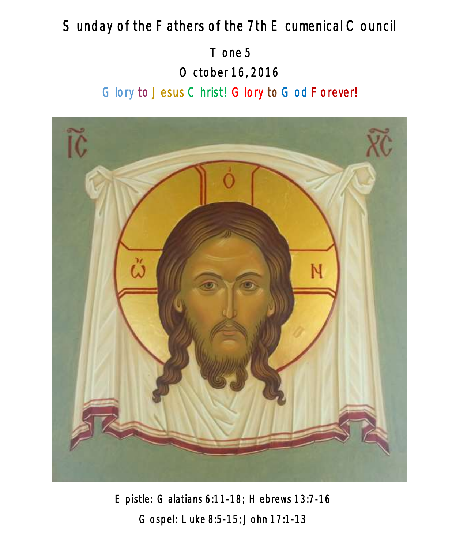# Sunday of the Fathers of the 7th E cumenical Council

 Tone 5 October 16, 2016 Glory to Jesus Christ! Glory to God Forever!



Epistle: Galatians 6:11-18; Hebrews 13:7-16 Gospel: Luke 8:5-15; John 17:1-13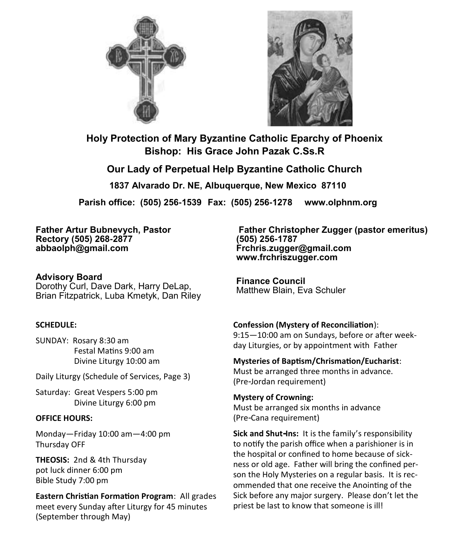



**Holy Protection of Mary Byzantine Catholic Eparchy of Phoenix Bishop: His Grace John Pazak C.Ss.R**

**Our Lady of Perpetual Help Byzantine Catholic Church 1837 Alvarado Dr. NE, Albuquerque, New Mexico 87110** 

**Parish office: (505) 256-1539 Fax: (505) 256-1278 www.olphnm.org**

**Father Artur Bubnevych, Pastor Rectory (505) 268-2877 abbaolph@gmail.com**

**Advisory Board**  Dorothy Curl, Dave Dark, Harry DeLap, Brian Fitzpatrick, Luba Kmetyk, Dan Riley

#### **SCHEDULE:**

SUNDAY: Rosary 8:30 am Festal Matins 9:00 am Divine Liturgy 10:00 am

Daily Liturgy (Schedule of Services, Page 3)

Saturday: Great Vespers 5:00 pm Divine Liturgy 6:00 pm

#### **OFFICE HOURS:**

Monday—Friday 10:00 am—4:00 pm Thursday OFF

**THEOSIS:** 2nd & 4th Thursday pot luck dinner 6:00 pm Bible Study 7:00 pm

**Eastern Christian Formation Program**: All grades meet every Sunday after Liturgy for 45 minutes (September through May)

**Father Christopher Zugger (pastor emeritus) (505) 256-1787 Frchris.zugger@gmail.com www.frchriszugger.com** 

**Finance Council**  Matthew Blain, Eva Schuler

**Confession (Mystery of Reconciliation**):

9:15—10:00 am on Sundays, before or after weekday Liturgies, or by appointment with Father

**Mysteries of Baptism/Chrismation/Eucharist**: Must be arranged three months in advance. (Pre-Jordan requirement)

**Mystery of Crowning:**  Must be arranged six months in advance (Pre-Cana requirement)

**Sick and Shut-Ins:** It is the family's responsibility to notify the parish office when a parishioner is in the hospital or confined to home because of sickness or old age. Father will bring the confined person the Holy Mysteries on a regular basis. It is recommended that one receive the Anointing of the Sick before any major surgery. Please don't let the priest be last to know that someone is ill!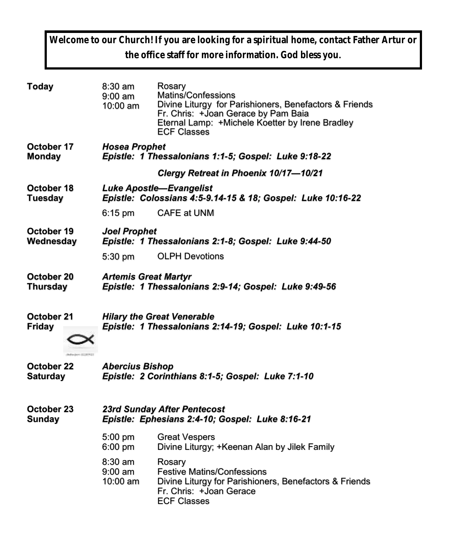**Welcome to our Church! If you are looking for a spiritual home, contact Father Artur or the office staff for more information. God bless you.**

| Today           | $8:30$ am<br>$9:00$ am<br>10:00 am                          | Rosary<br>Matins/Confessions<br>Divine Liturgy for Parishioners, Benefactors & Friends<br>Fr. Chris: +Joan Gerace by Pam Baia<br>Eternal Lamp: +Michele Koetter by Irene Bradley<br><b>ECF Classes</b> |  |  |
|-----------------|-------------------------------------------------------------|--------------------------------------------------------------------------------------------------------------------------------------------------------------------------------------------------------|--|--|
| October 17      | <b>Hosea Prophet</b>                                        |                                                                                                                                                                                                        |  |  |
| <b>Monday</b>   | Epistle: 1 Thessalonians 1:1-5; Gospel: Luke 9:18-22        |                                                                                                                                                                                                        |  |  |
|                 |                                                             | Clergy Retreat in Phoenix 10/17-10/21                                                                                                                                                                  |  |  |
| October 18      | <b>Luke Apostle-Evangelist</b>                              |                                                                                                                                                                                                        |  |  |
| <b>Tuesday</b>  | Epistle: Colossians 4:5-9.14-15 & 18; Gospel: Luke 10:16-22 |                                                                                                                                                                                                        |  |  |
|                 | $6:15 \text{ pm}$                                           | <b>CAFE at UNM</b>                                                                                                                                                                                     |  |  |
| October 19      | <b>Joel Prophet</b>                                         |                                                                                                                                                                                                        |  |  |
| Wednesday       | Epistle: 1 Thessalonians 2:1-8; Gospel: Luke 9:44-50        |                                                                                                                                                                                                        |  |  |
|                 | $5:30$ pm                                                   | <b>OLPH Devotions</b>                                                                                                                                                                                  |  |  |
| October 20      | <b>Artemis Great Martyr</b>                                 |                                                                                                                                                                                                        |  |  |
| <b>Thursday</b> | Epistle: 1 Thessalonians 2:9-14; Gospel: Luke 9:49-56       |                                                                                                                                                                                                        |  |  |
| October 21      | <b>Hilary the Great Venerable</b>                           |                                                                                                                                                                                                        |  |  |
| <b>Friday</b>   | Epistle: 1 Thessalonians 2:14-19; Gospel: Luke 10:1-15      |                                                                                                                                                                                                        |  |  |
| October 22      | <b>Abercius Bishop</b>                                      |                                                                                                                                                                                                        |  |  |
| <b>Saturday</b> | Epistle: 2 Corinthians 8:1-5; Gospel: Luke 7:1-10           |                                                                                                                                                                                                        |  |  |
| October 23      | 23rd Sunday After Pentecost                                 |                                                                                                                                                                                                        |  |  |
| <b>Sunday</b>   | Epistle: Ephesians 2:4-10; Gospel: Luke 8:16-21             |                                                                                                                                                                                                        |  |  |
|                 | 5:00 pm<br>6:00 pm                                          | <b>Great Vespers</b><br>Divine Liturgy; +Keenan Alan by Jilek Family                                                                                                                                   |  |  |
|                 | $8:30$ am<br>$9:00$ am<br>10:00 am                          | Rosary<br><b>Festive Matins/Confessions</b><br>Divine Liturgy for Parishioners, Benefactors & Friends<br>Fr. Chris: +Joan Gerace<br><b>ECF Classes</b>                                                 |  |  |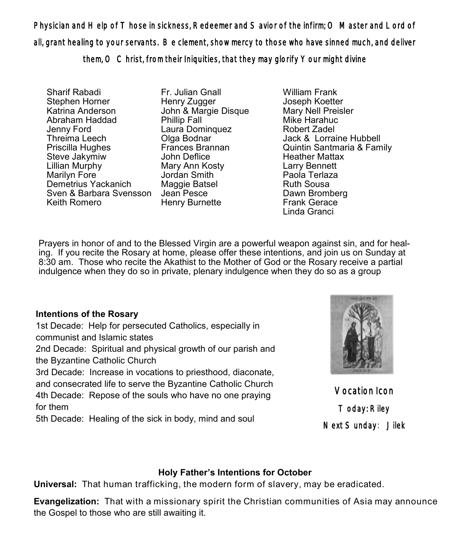Physician and Help of Those in sickness, Redeemer and Savior of the infirm; O Master and Lord of all, grant healing to your servants. Be clement, show mercy to those who have sinned much, and deliver them, O Christ, from their Iniquities, that they may glorify Your might divine

Sharif Rabadi Stephen Horner Katrina Anderson Abraham Haddad Jenny Ford Threima Leech Priscilla Hughes Steve Jakymiw Lillian Murphy Marilyn Fore Demetrius Yackanich Sven & Barbara Svensson Jean Pesce Keith Romero

Fr. Julian Gnall Henry Zugger John & Margie Disque Phillip Fall Laura Dominquez Olga Bodnar Frances Brannan John Deflice Mary Ann Kosty Jordan Smith Maggie Batsel Henry Burnette

William Frank Joseph Koetter Mary Nell Preisler Mike Harahuc Robert Zadel Jack & Lorraine Hubbell Quintin Santmaria & Family Heather Mattax Larry Bennett Paola Terlaza Ruth Sousa Dawn Bromberg Frank Gerace Linda Granci

Prayers in honor of and to the Blessed Virgin are a powerful weapon against sin, and for healing. If you recite the Rosary at home, please offer these intentions, and join us on Sunday at 8:30 am. Those who recite the Akathist to the Mother of God or the Rosary receive a partial indulgence when they do so in private, plenary indulgence when they do so as a group

### **Intentions of the Rosary**

1st Decade: Help for persecuted Catholics, especially in communist and Islamic states

2nd Decade: Spiritual and physical growth of our parish and the Byzantine Catholic Church

3rd Decade: Increase in vocations to priesthood, diaconate, and consecrated life to serve the Byzantine Catholic Church 4th Decade: Repose of the souls who have no one praying for them

5th Decade: Healing of the sick in body, mind and soul



Vocation Icon Today: Riley Next Sunday: Jilek

### **Holy Father's Intentions for October**

**Universal:** That human trafficking, the modern form of slavery, may be eradicated.

**Evangelization:** That with a missionary spirit the Christian communities of Asia may announce the Gospel to those who are still awaiting it.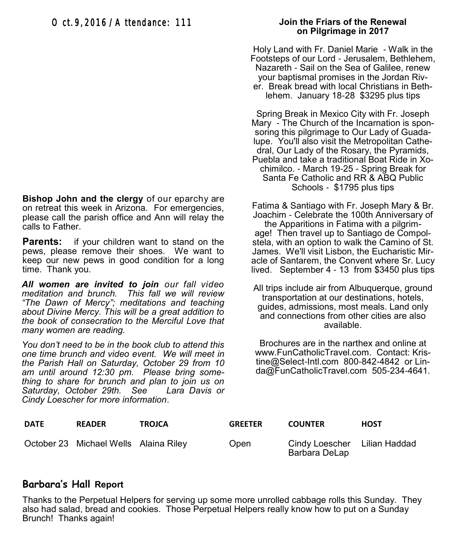**Bishop John and the clergy** of our eparchy are on retreat this week in Arizona. For emergencies, please call the parish office and Ann will relay the calls to Father.

**Parents:** if your children want to stand on the pews, please remove their shoes. We want to keep our new pews in good condition for a long time. Thank you.

*All women are invited to join our fall video meditation and brunch. This fall we will review "The Dawn of Mercy"; meditations and teaching about Divine Mercy. This will be a great addition to the book of consecration to the Merciful Love that many women are reading.* 

*You don't need to be in the book club to attend this one time brunch and video event. We will meet in the Parish Hall on Saturday, October 29 from 10 am until around 12:30 pm. Please bring something to share for brunch and plan to join us on Saturday, October 29th. See Lara Davis or Cindy Loescher for more information*.

### **Join the Friars of the Renewal on Pilgrimage in 2017**

Holy Land with Fr. Daniel Marie - Walk in the Footsteps of our Lord - Jerusalem, Bethlehem, Nazareth - Sail on the Sea of Galilee, renew your baptismal promises in the Jordan River. Break bread with local Christians in Bethlehem. January 18-28 \$3295 plus tips

Spring Break in Mexico City with Fr. Joseph Mary - The Church of the Incarnation is sponsoring this pilgrimage to Our Lady of Guadalupe. You'll also visit the Metropolitan Cathedral, Our Lady of the Rosary, the Pyramids, Puebla and take a traditional Boat Ride in Xochimilco. - March 19-25 - Spring Break for Santa Fe Catholic and RR & ABQ Public Schools - \$1795 plus tips

Fatima & Santiago with Fr. Joseph Mary & Br. Joachim - Celebrate the 100th Anniversary of the Apparitions in Fatima with a pilgrimage! Then travel up to Santiago de Compolstela, with an option to walk the Camino of St. James. We'll visit Lisbon, the Eucharistic Miracle of Santarem, the Convent where Sr. Lucy lived. September 4 - 13 from \$3450 plus tips

All trips include air from Albuquerque, ground transportation at our destinations, hotels, guides, admissions, most meals. Land only and connections from other cities are also available.

Brochures are in the narthex and online at [www.FunCatholicTravel.com.](http://www.FunCatholicTravel.com) Contact: Kristine@Select-Intl.com 800-842-4842 or Linda@FunCatholicTravel.com 505-234-4641.

| <b>DATE</b> | <b>READER</b>                         | <b>TROJCA</b> | <b>GREETER</b> | <b>COUNTER</b>                                | <b>HOST</b> |
|-------------|---------------------------------------|---------------|----------------|-----------------------------------------------|-------------|
|             | October 23 Michael Wells Alaina Riley |               | Open           | Cindy Loescher Lilian Haddad<br>Barbara DeLap |             |

### **Barbara's Hall Report**

Thanks to the Perpetual Helpers for serving up some more unrolled cabbage rolls this Sunday. They also had salad, bread and cookies. Those Perpetual Helpers really know how to put on a Sunday Brunch! Thanks again!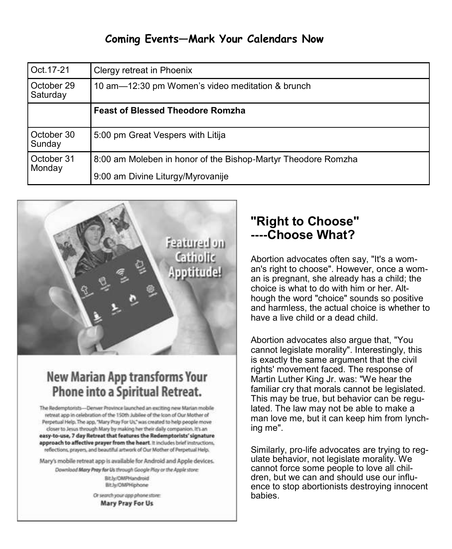### **Coming Events—Mark Your Calendars Now**

| Oct. 17-21             | Clergy retreat in Phoenix                                     |  |  |  |  |
|------------------------|---------------------------------------------------------------|--|--|--|--|
| October 29<br>Saturday | 10 am-12:30 pm Women's video meditation & brunch              |  |  |  |  |
|                        | <b>Feast of Blessed Theodore Romzha</b>                       |  |  |  |  |
| October 30<br>Sunday   | 5:00 pm Great Vespers with Litija                             |  |  |  |  |
| October 31<br>Monday   | 8:00 am Moleben in honor of the Bishop-Martyr Theodore Romzha |  |  |  |  |
|                        | 9:00 am Divine Liturgy/Myrovanije                             |  |  |  |  |



## **New Marian App transforms Your** Phone into a Spiritual Retreat.

The Redemptorists-Denver Province launched an exciting new Marian mobile retreat app in celebration of the 150th Jubilee of the Icon of Our Mother of Perpetual Help. The app, "Mary Pray For Us," was created to help people move closer to Jesus through Mary by making her their daily companion. It's an easy-to-use, 7 day Retreat that features the Redemptorists' signature approach to affective prayer from the heart. It includes brief instructions, reflections, prayers, and beautiful artwork of Our Mother of Perpetual Help.

Mary's mobile retreat app is available for Android and Apple devices.

Download Mary Pray for Us through Google Play or the Apple store: Bit by OMPHandroid **BitJu/OMPHiphone** 

> Or search your app phone store: Mary Pray For Us

### **"Right to Choose" ----Choose What?**

Abortion advocates often say, "It's a woman's right to choose". However, once a woman is pregnant, she already has a child; the choice is what to do with him or her. Although the word "choice" sounds so positive and harmless, the actual choice is whether to have a live child or a dead child.

Abortion advocates also argue that, "You cannot legislate morality". Interestingly, this is exactly the same argument that the civil rights' movement faced. The response of Martin Luther King Jr. was: "We hear the familiar cry that morals cannot be legislated. This may be true, but behavior can be regulated. The law may not be able to make a man love me, but it can keep him from lynching me".

Similarly, pro-life advocates are trying to regulate behavior, not legislate morality. We cannot force some people to love all children, but we can and should use our influence to stop abortionists destroying innocent babies.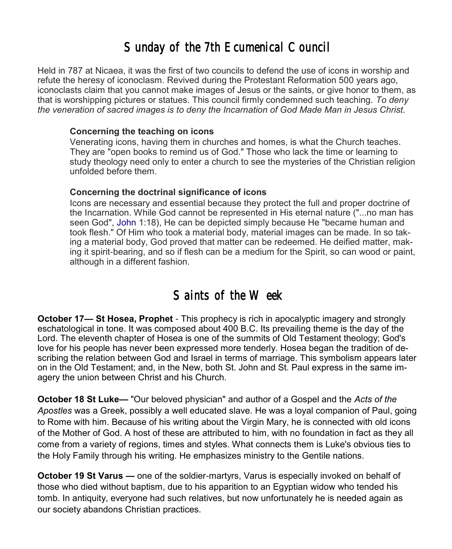## *Sunday of the 7th Ecumenical Council*

Held in 787 at Nicaea, it was the first of two councils to defend the use of icons in worship and refute the heresy of iconoclasm. Revived during the Protestant Reformation 500 years ago, iconoclasts claim that you cannot make images of Jesus or the saints, or give honor to them, as that is worshipping pictures or statues. This council firmly condemned such teaching. *To deny the veneration of sacred images is to deny the Incarnation of God Made Man in Jesus Christ.* 

#### **Concerning the teaching on icons**

Venerating icons, having them in churches and homes, is what the Church teaches. They are "open books to remind us of God." Those who lack the time or learning to study theology need only to enter a church to see the mysteries of the Christian religion unfolded before them.

### **Concerning the doctrinal significance of icons**

Icons are necessary and essential because they protect the full and proper doctrine of the Incarnation. While God cannot be represented in His eternal nature ("...no man has seen God", [John](https://orthodoxwiki.org/Gospel_of_John) 1:18), He can be depicted simply because He "became human and took flesh." Of Him who took a material body, material images can be made. In so taking a material body, God proved that matter can be redeemed. He deified matter, making it spirit-bearing, and so if flesh can be a medium for the Spirit, so can wood or paint, although in a different fashion.

## *Saints of the Week*

**October 17— St Hosea, Prophet** - This prophecy is rich in apocalyptic imagery and strongly eschatological in tone. It was composed about 400 B.C. Its prevailing theme is the day of the Lord. The eleventh chapter of Hosea is one of the summits of Old Testament theology; God's love for his people has never been expressed more tenderly. Hosea began the tradition of describing the relation between God and Israel in terms of marriage. This symbolism appears later on in the Old Testament; and, in the New, both St. John and St. Paul express in the same imagery the union between Christ and his Church.

**October 18 St Luke—** "Our beloved physician" and author of a Gospel and the *Acts of the Apostles* was a Greek, possibly a well educated slave. He was a loyal companion of Paul, going to Rome with him. Because of his writing about the Virgin Mary, he is connected with old icons of the Mother of God. A host of these are attributed to him, with no foundation in fact as they all come from a variety of regions, times and styles. What connects them is Luke's obvious ties to the Holy Family through his writing. He emphasizes ministry to the Gentile nations.

**October 19 St Varus —** one of the soldier-martyrs, Varus is especially invoked on behalf of those who died without baptism, due to his apparition to an Egyptian widow who tended his tomb. In antiquity, everyone had such relatives, but now unfortunately he is needed again as our society abandons Christian practices.